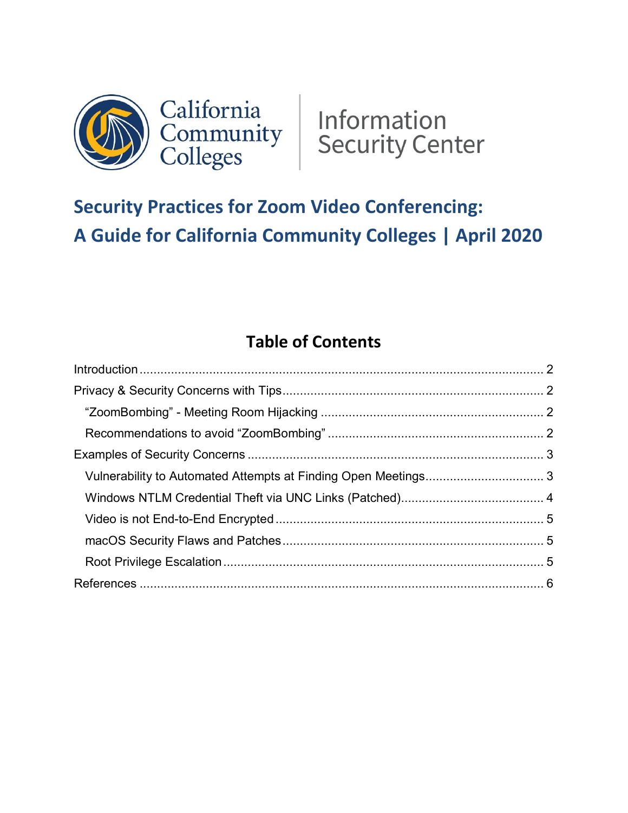



# **Security Practices for Zoom Video Conferencing: A Guide for California Community Colleges | April 2020**

# **Table of Contents**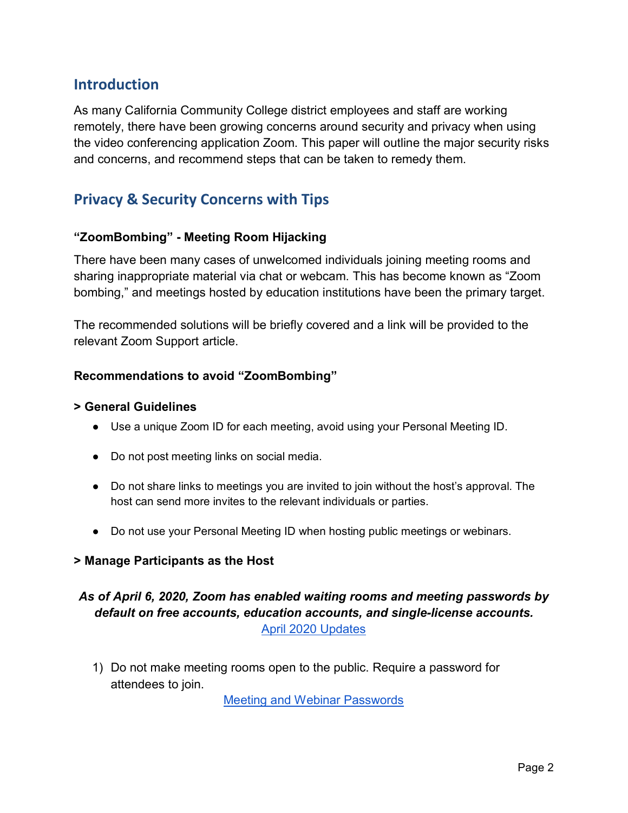### **Introduction**

As many California Community College district employees and staff are working remotely, there have been growing concerns around security and privacy when using the video conferencing application Zoom. This paper will outline the major security risks and concerns, and recommend steps that can be taken to remedy them.

# **Privacy & Security Concerns with Tips**

#### **"ZoomBombing" - Meeting Room Hijacking**

There have been many cases of unwelcomed individuals joining meeting rooms and sharing inappropriate material via chat or webcam. This has become known as "Zoom bombing," and meetings hosted by education institutions have been the primary target.

The recommended solutions will be briefly covered and a link will be provided to the relevant Zoom Support article.

#### **Recommendations to avoid "ZoomBombing"**

#### **> General Guidelines**

- Use a unique Zoom ID for each meeting, avoid using your Personal Meeting ID.
- Do not post meeting links on social media.
- Do not share links to meetings you are invited to join without the host's approval. The host can send more invites to the relevant individuals or parties.
- Do not use your Personal Meeting ID when hosting public meetings or webinars.

#### **> Manage Participants as the Host**

#### *As of April 6, 2020, Zoom has enabled waiting rooms and meeting passwords by default on free accounts, education accounts, and single-license accounts.* April [2020 Updates](https://support.zoom.us/hc/en-us/articles/360041408732-April-2020-Setting-updates-for-free-accounts-and-single-Pro-users)

1) Do not make meeting rooms open to the public. Require a password for attendees to join.

[Meeting and Webinar](https://support.zoom.us/hc/en-us/articles/360033559832-Meeting-and-Webinar-Passwords-#h_530762f7-e34a-4c55-a929-f16c5386d7be) Passwords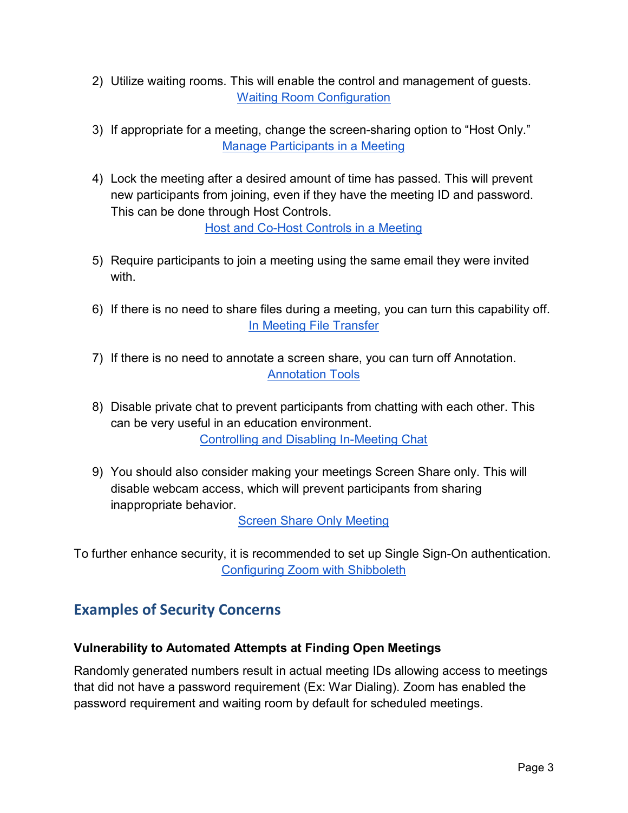- 2) Utilize waiting rooms. This will enable the control and management of guests. **[Waiting Room](https://support.zoom.us/hc/en-us/articles/115000332726-Waiting-Room) Configuration**
- 3) If appropriate for a meeting, change the screen-sharing option to "Host Only." [Manage Participants](https://support.zoom.us/hc/en-us/articles/115005759423) in a Meeting
- 4) Lock the meeting after a desired amount of time has passed. This will prevent new participants from joining, even if they have the meeting ID and password. This can be done through Host Controls.

Host [and Co-Host](https://support.zoom.us/hc/en-us/articles/201362603-What-Are-the-Host-Controls-) Controls in a Meeting

- 5) Require participants to join a meeting using the same email they were invited with.
- 6) If there is no need to share files during a meeting, you can turn this capability off. [In Meeting File Transfer](https://support.zoom.us/hc/en-us/articles/209605493-In-Meeting-File-Transfer?zcid=1231)
- 7) If there is no need to annotate a screen share, you can turn off Annotation. [Annotation Tools](https://support.zoom.us/hc/en-us/articles/115005706806-Using-annotation-tools-on-a-shared-screen-or-whiteboard?zcid=1231)
- 8) Disable private chat to prevent participants from chatting with each other. This can be very useful in an education environment. [Controlling and Disabling In-Meeting Chat](https://support.zoom.us/hc/en-us/articles/115004809306-Controlling-and-Disabling-In-Meeting-Chat?zcid=1231)
- 9) You should also consider making your meetings Screen Share only. This will disable webcam access, which will prevent participants from sharing inappropriate behavior.

[Screen Share Only](https://support.zoom.us/hc/en-us/articles/201362633-How-Do-I-Start-A-Screen-Share-Meeting-) Meeting

To further enhance security, it is recommended to set up Single Sign-On authentication. [Configuring Zoom](https://support.zoom.us/hc/en-us/articles/115005893206-Configuring-Zoom-with-Shibboleth) with Shibboleth

# **Examples of Security Concerns**

#### **Vulnerability to Automated Attempts at Finding Open Meetings**

Randomly generated numbers result in actual meeting IDs allowing access to meetings that did not have a password requirement (Ex: War Dialing). Zoom has enabled the password requirement and waiting room by default for scheduled meetings.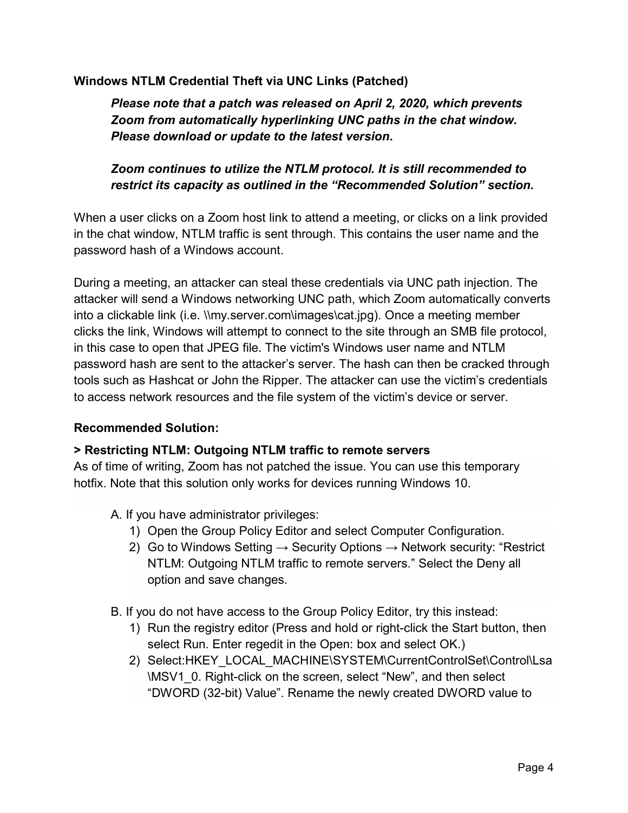#### **Windows NTLM Credential Theft via UNC Links (Patched)**

*Please note that a patch was released on April 2, 2020, which prevents Zoom from automatically hyperlinking UNC paths in the chat window. Please download or update to the latest version.*

#### *Zoom continues to utilize the NTLM protocol. It is still recommended to restrict its capacity as outlined in the "Recommended Solution" section.*

When a user clicks on a Zoom host link to attend a meeting, or clicks on a link provided in the chat window, NTLM traffic is sent through. This contains the user name and the password hash of a Windows account.

During a meeting, an attacker can steal these credentials via UNC path injection. The attacker will send a Windows networking UNC path, which Zoom automatically converts into a clickable link (i.e. \\my.server.com\images\cat.jpg). Once a meeting member clicks the link, Windows will attempt to connect to the site through an SMB file protocol, in this case to open that JPEG file. The victim's Windows user name and NTLM password hash are sent to the attacker's server. The hash can then be cracked through tools such as Hashcat or John the Ripper. The attacker can use the victim's credentials to access network resources and the file system of the victim's device or server.

#### **Recommended Solution:**

#### **> Restricting NTLM: Outgoing NTLM traffic to remote servers**

As of time of writing, Zoom has not patched the issue. You can use this temporary hotfix. Note that this solution only works for devices running Windows 10.

- A. If you have administrator privileges:
	- 1) Open the Group Policy Editor and select Computer Configuration.
	- 2) Go to Windows Setting  $\rightarrow$  Security Options  $\rightarrow$  Network security: "Restrict NTLM: Outgoing NTLM traffic to remote servers." Select the Deny all option and save changes.
- B. If you do not have access to the Group Policy Editor, try this instead:
	- 1) Run the registry editor (Press and hold or right-click the Start button, then select Run. Enter regedit in the Open: box and select OK.)
	- 2) Select:HKEY\_LOCAL\_MACHINE\SYSTEM\CurrentControlSet\Control\Lsa \MSV1\_0. Right-click on the screen, select "New", and then select "DWORD (32-bit) Value". Rename the newly created DWORD value to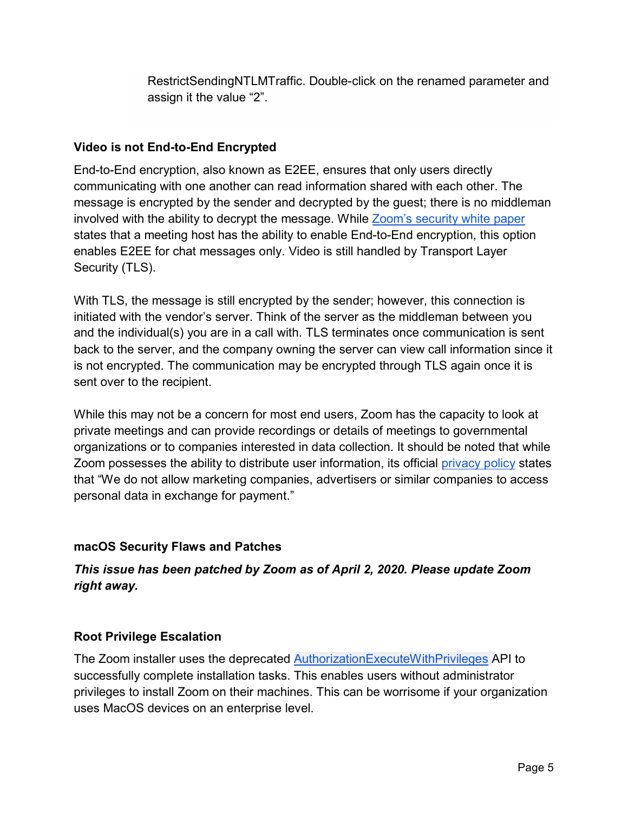RestrictSendingNTLMTraffic. Double-click on the renamed parameter and assign it the value "2".

#### **Video is not End-to-End Encrypted**

End-to-End encryption, also known as E2EE, ensures that only users directly communicating with one another can read information shared with each other. The message is encrypted by the sender and decrypted by the guest; there is no middleman involved with the ability to decrypt the message. While [Zoom's](https://zoom.us/docs/doc/Zoom-Security-White-Paper.pdf) security white paper states that a meeting host has the ability to enable End-to-End encryption, this option enables E2EE for chat messages only. Video is still handled by Transport Layer Security (TLS).

With TLS, the message is still encrypted by the sender; however, this connection is initiated with the vendor's server. Think of the server as the middleman between you and the individual(s) you are in a call with. TLS terminates once communication is sent back to the server, and the company owning the server can view call information since it is not encrypted. The communication may be encrypted through TLS again once it is sent over to the recipient.

While this may not be a concern for most end users, Zoom has the capacity to look at private meetings and can provide recordings or details of meetings to governmental organizations or to companies interested in data collection. It should be noted that while Zoom possesses the ability to distribute user information, its official [privacy](https://zoom.us/privacy) policy states that "We do not allow marketing companies, advertisers or similar companies to access personal data in exchange for payment."

#### **macOS Security Flaws and Patches**

#### *This issue has been patched by Zoom as of April 2, 2020. Please update Zoom right away.*

#### **Root Privilege Escalation**

The Zoom installer uses the deprecated [AuthorizationExecuteWithPrivileges](https://developer.apple.com/documentation/security/1540038-authorizationexecutewithprivileg) API to successfully complete installation tasks. This enables users without administrator privileges to install Zoom on their machines. This can be worrisome if your organization uses MacOS devices on an enterprise level.